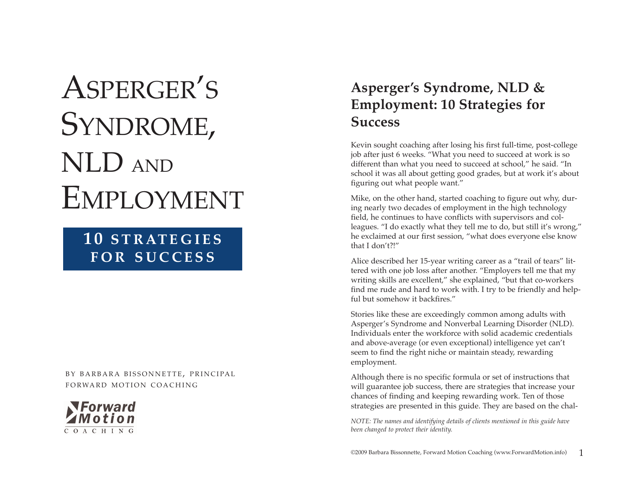# **SYNDROMI<br>NLD AND<br>EMPLOYMI<br>10 STRATEGI<br>FOR SUCCE!**<br>FOR SUCCE! ' S SYNDROME , NLD AND EMPLOYMENT

# **1 0 STRATEGIES FOR SUCCESS**

BY BARBARA BISSONNETTE, PRINCIPAL



## **Asperger's Syndrome, NLD & Employment: 10 Strategies for Success**

Kevin sought coaching after losing his first full-time, post-college job after just 6 weeks. "What you need to succeed at work is so different than what you need to succeed at school," he said. "In school it was all about getting good grades, but at work it's about figuring out what people want."

Mike, on the other hand, started coaching to figure out why, during nearly two decades of employment in the high technology field, he continues to have conflicts with supervisors and colleagues. "I do exactly what they tell me to do, but still it's wrong," he exclaimed at our first session, "what does everyone else know that I don't?!"

Alice described her 15-year writing career as a "trail of tears" littered with one job loss after another. "Employers tell me that my writing skills are excellent," she explained, "but that co-workers find me rude and hard to work with. I try to be friendly and helpful but somehow it backfires."

Stories like these are exceedingly common among adults with Asperger's Syndrome and Nonverbal Learning Disorder (NLD). Individuals enter the workforce with solid academic credentials and above-average (or even exceptional) intelligence yet can't seem to find the right niche or maintain steady, rewarding employment.

Although there is no specific formula or set of instructions that will guarantee job success, there are strategies that increase your chances of finding and keeping rewarding work. Ten of those strategies are presented in this guide. They are based on the chal-

*NOTE: The names and identifying details of clients mentioned in this guide have been changed to protect their identity.*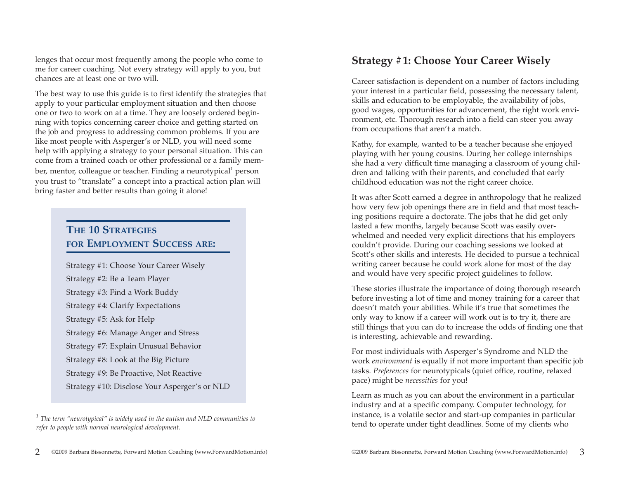lenges that occur most frequently among the people who come to me for career coaching. Not every strategy will apply to you, but chances are at least one or two will.

The best way to use this guide is to first identify the strategies that apply to your particular employment situation and then choose one or two to work on at a time. They are loosely ordered beginning with topics concerning career choice and getting started on the job and progress to addressing common problems. If you are like most people with Asperger's or NLD, you will need some help with applying a strategy to your personal situation. This can come from a trained coach or other professional or a family member, mentor, colleague or teacher. Finding a neurotypical*<sup>1</sup>* person you trust to "translate" a concept into a practical action plan will bring faster and better results than going it alone!

### **THE 10 STRATEGIES FOR EMPLOYMENT SUCCESS ARE:**

Strategy #1: Choose Your Career Wisely Strategy #2: Be a Team Player Strategy #3: Find a Work Buddy Strategy #4: Clarify Expectations Strategy #5: Ask for Help Strategy #6: Manage Anger and Stress Strategy #7: Explain Unusual Behavior Strategy #8: Look at the Big Picture Strategy #9: Be Proactive, Not Reactive Strategy #10: Disclose Your Asperger's or NLD

#### **Strategy #1: Choose Your Career Wisely**

Career satisfaction is dependent on a number of factors including your interest in a particular field, possessing the necessary talent, skills and education to be employable, the availability of jobs, good wages, opportunities for advancement, the right work environment, etc. Thorough research into a field can steer you away from occupations that aren't a match.

Kathy, for example, wanted to be a teacher because she enjoyed playing with her young cousins. During her college internships she had a very difficult time managing a classroom of young children and talking with their parents, and concluded that early childhood education was not the right career choice.

It was after Scott earned a degree in anthropology that he realized how very few job openings there are in field and that most teaching positions require a doctorate. The jobs that he did get only lasted a few months, largely because Scott was easily overwhelmed and needed very explicit directions that his employers couldn't provide. During our coaching sessions we looked at Scott's other skills and interests. He decided to pursue a technical writing career because he could work alone for most of the day and would have very specific project guidelines to follow.

These stories illustrate the importance of doing thorough research before investing a lot of time and money training for a career that doesn't match your abilities. While it's true that sometimes the only way to know if a career will work out is to try it, there are still things that you can do to increase the odds of finding one that is interesting, achievable and rewarding.

For most individuals with Asperger's Syndrome and NLD the work *environment* is equally if not more important than specific job tasks. *Preferences* for neurotypicals (quiet office, routine, relaxed pace) might be *necessities* for you!

Learn as much as you can about the environment in a particular industry and at a specific company. Computer technology, for instance, is a volatile sector and start-up companies in particular tend to operate under tight deadlines. Some of my clients who

*<sup>1</sup> The term "neurotypical" is widely used in the autism and NLD communities to refer to people with normal neurological development.*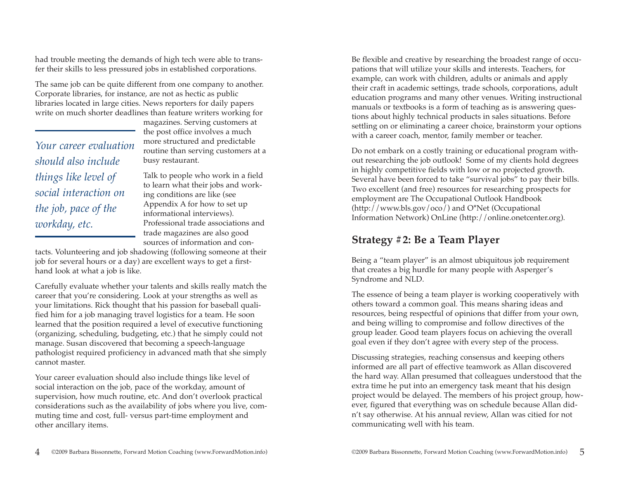had trouble meeting the demands of high tech were able to transfer their skills to less pressured jobs in established corporations.

The same job can be quite different from one company to another. Corporate libraries, for instance, are not as hectic as public libraries located in large cities. News reporters for daily papers write on much shorter deadlines than feature writers working for

*Your career evaluation should also include things like level of social interaction on the job, pace of the workday, etc.*

magazines. Serving customers at the post office involves a much more structured and predictable routine than serving customers at a busy restaurant.

Talk to people who work in a field to learn what their jobs and working conditions are like (see Appendix A for how to set up informational interviews). Professional trade associations and trade magazines are also good sources of information and con-

tacts. Volunteering and job shadowing (following someone at their job for several hours or a day) are excellent ways to get a firsthand look at what a job is like.

Carefully evaluate whether your talents and skills really match the career that you're considering. Look at your strengths as well as your limitations. Rick thought that his passion for baseball qualified him for a job managing travel logistics for a team. He soon learned that the position required a level of executive functioning (organizing, scheduling, budgeting, etc.) that he simply could not manage. Susan discovered that becoming a speech-language pathologist required proficiency in advanced math that she simply cannot master.

Your career evaluation should also include things like level of social interaction on the job, pace of the workday, amount of supervision, how much routine, etc. And don't overlook practical considerations such as the availability of jobs where you live, commuting time and cost, full- versus part-time employment and other ancillary items.

Be flexible and creative by researching the broadest range of occupations that will utilize your skills and interests. Teachers, for example, can work with children, adults or animals and apply their craft in academic settings, trade schools, corporations, adult education programs and many other venues. Writing instructional manuals or textbooks is a form of teaching as is answering questions about highly technical products in sales situations. Before settling on or eliminating a career choice, brainstorm your options with a career coach, mentor, family member or teacher.

Do not embark on a costly training or educational program without researching the job outlook! Some of my clients hold degrees in highly competitive fields with low or no projected growth. Several have been forced to take "survival jobs" to pay their bills. Two excellent (and free) resources for researching prospects for employment are The Occupational Outlook Handbook (http://www.bls.gov/oco/) and O\*Net (Occupational Information Network) OnLine (http://online.onetcenter.org).

## **Strategy #2: Be a Team Player**

Being a "team player" is an almost ubiquitous job requirement that creates a big hurdle for many people with Asperger's Syndrome and NLD.

The essence of being a team player is working cooperatively with others toward a common goal. This means sharing ideas and resources, being respectful of opinions that differ from your own, and being willing to compromise and follow directives of the group leader. Good team players focus on achieving the overall goal even if they don't agree with every step of the process.

Discussing strategies, reaching consensus and keeping others informed are all part of effective teamwork as Allan discovered the hard way. Allan presumed that colleagues understood that the extra time he put into an emergency task meant that his design project would be delayed. The members of his project group, however, figured that everything was on schedule because Allan didn't say otherwise. At his annual review, Allan was citied for not communicating well with his team.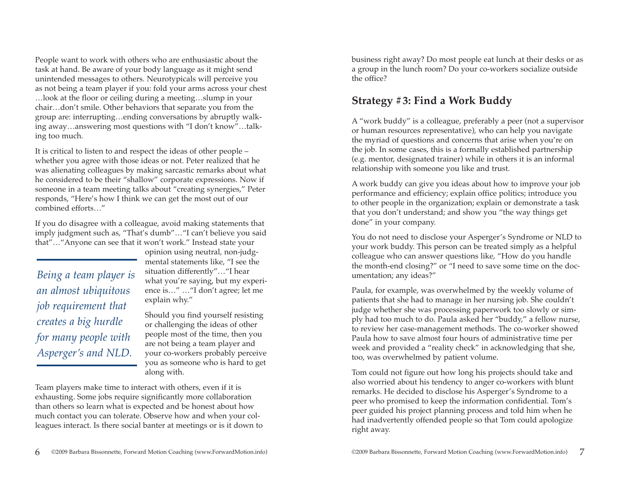People want to work with others who are enthusiastic about the task at hand. Be aware of your body language as it might send unintended messages to others. Neurotypicals will perceive you as not being a team player if you: fold your arms across your chest …look at the floor or ceiling during a meeting…slump in your chair…don't smile. Other behaviors that separate you from the group are: interrupting…ending conversations by abruptly walking away…answering most questions with "I don't know"…talking too much.

It is critical to listen to and respect the ideas of other people – whether you agree with those ideas or not. Peter realized that he was alienating colleagues by making sarcastic remarks about what he considered to be their "shallow" corporate expressions. Now if someone in a team meeting talks about "creating synergies," Peter responds, "Here's how I think we can get the most out of our combined efforts…"

If you do disagree with a colleague, avoid making statements that imply judgment such as, "That's dumb"…"I can't believe you said that"…"Anyone can see that it won't work." Instead state your

*Being a team player is an almost ubiquitous job requirement that creates a big hurdle for many people with Asperger's and NLD.*

opinion using neutral, non-judgmental statements like, "I see the situation differently"…"I hear what you're saying, but my experience is…" …"I don't agree; let me explain why."

Should you find yourself resisting or challenging the ideas of other people most of the time, then you are not being a team player and your co-workers probably perceive you as someone who is hard to get along with.

Team players make time to interact with others, even if it is exhausting. Some jobs require significantly more collaboration than others so learn what is expected and be honest about how much contact you can tolerate. Observe how and when your colleagues interact. Is there social banter at meetings or is it down to

business right away? Do most people eat lunch at their desks or as a group in the lunch room? Do your co-workers socialize outside the office?

## **Strategy #3: Find a Work Buddy**

A "work buddy" is a colleague, preferably a peer (not a supervisor or human resources representative), who can help you navigate the myriad of questions and concerns that arise when you're on the job. In some cases, this is a formally established partnership (e.g. mentor, designated trainer) while in others it is an informal relationship with someone you like and trust.

A work buddy can give you ideas about how to improve your job performance and efficiency; explain office politics; introduce you to other people in the organization; explain or demonstrate a task that you don't understand; and show you "the way things get done" in your company.

You do not need to disclose your Asperger's Syndrome or NLD to your work buddy. This person can be treated simply as a helpful colleague who can answer questions like, "How do you handle the month-end closing?" or "I need to save some time on the documentation; any ideas?"

Paula, for example, was overwhelmed by the weekly volume of patients that she had to manage in her nursing job. She couldn't judge whether she was processing paperwork too slowly or simply had too much to do. Paula asked her "buddy," a fellow nurse, to review her case-management methods. The co-worker showed Paula how to save almost four hours of administrative time per week and provided a "reality check" in acknowledging that she, too, was overwhelmed by patient volume.

Tom could not figure out how long his projects should take and also worried about his tendency to anger co-workers with blunt remarks. He decided to disclose his Asperger's Syndrome to a peer who promised to keep the information confidential. Tom's peer guided his project planning process and told him when he had inadvertently offended people so that Tom could apologize right away.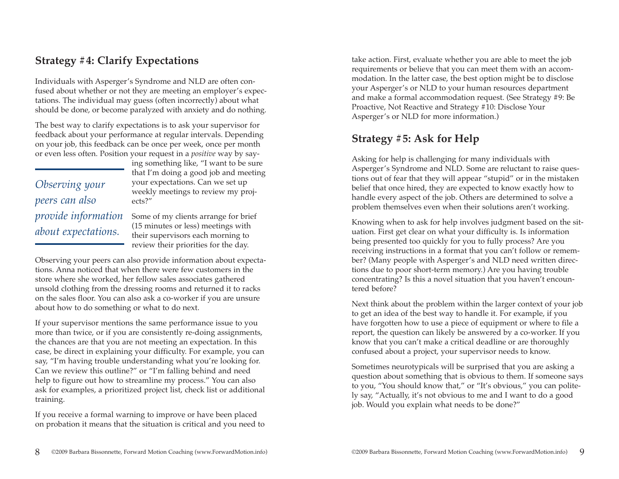## **Strategy #4: Clarify Expectations**

Individuals with Asperger's Syndrome and NLD are often confused about whether or not they are meeting an employer's expectations. The individual may guess (often incorrectly) about what should be done, or become paralyzed with anxiety and do nothing.

The best way to clarify expectations is to ask your supervisor for feedback about your performance at regular intervals. Depending on your job, this feedback can be once per week, once per month or even less often. Position your request in a *positive* way by say-

*Observing your peers can also provide information about expectations.*

ing something like, "I want to be sure that I'm doing a good job and meeting your expectations. Can we set up weekly meetings to review my projects?"

Some of my clients arrange for brief (15 minutes or less) meetings with their supervisors each morning to review their priorities for the day.

Observing your peers can also provide information about expectations. Anna noticed that when there were few customers in the store where she worked, her fellow sales associates gathered unsold clothing from the dressing rooms and returned it to racks on the sales floor. You can also ask a co-worker if you are unsure about how to do something or what to do next.

If your supervisor mentions the same performance issue to you more than twice, or if you are consistently re-doing assignments, the chances are that you are not meeting an expectation. In this case, be direct in explaining your difficulty. For example, you can say, "I'm having trouble understanding what you're looking for. Can we review this outline?" or "I'm falling behind and need help to figure out how to streamline my process." You can also ask for examples, a prioritized project list, check list or additional training.

If you receive a formal warning to improve or have been placed on probation it means that the situation is critical and you need to

take action. First, evaluate whether you are able to meet the job requirements or believe that you can meet them with an accommodation. In the latter case, the best option might be to disclose your Asperger's or NLD to your human resources department and make a formal accommodation request. (See Strategy #9: Be Proactive, Not Reactive and Strategy #10: Disclose Your Asperger's or NLD for more information.)

## **Strategy #5: Ask for Help**

Asking for help is challenging for many individuals with Asperger's Syndrome and NLD. Some are reluctant to raise questions out of fear that they will appear "stupid" or in the mistaken belief that once hired, they are expected to know exactly how to handle every aspect of the job. Others are determined to solve a problem themselves even when their solutions aren't working.

Knowing when to ask for help involves judgment based on the situation. First get clear on what your difficulty is. Is information being presented too quickly for you to fully process? Are you receiving instructions in a format that you can't follow or remember? (Many people with Asperger's and NLD need written directions due to poor short-term memory.) Are you having trouble concentrating? Is this a novel situation that you haven't encountered before?

Next think about the problem within the larger context of your job to get an idea of the best way to handle it. For example, if you have forgotten how to use a piece of equipment or where to file a report, the question can likely be answered by a co-worker. If you know that you can't make a critical deadline or are thoroughly confused about a project, your supervisor needs to know.

Sometimes neurotypicals will be surprised that you are asking a question about something that is obvious to them. If someone says to you, "You should know that," or "It's obvious," you can politely say, "Actually, it's not obvious to me and I want to do a good job. Would you explain what needs to be done?"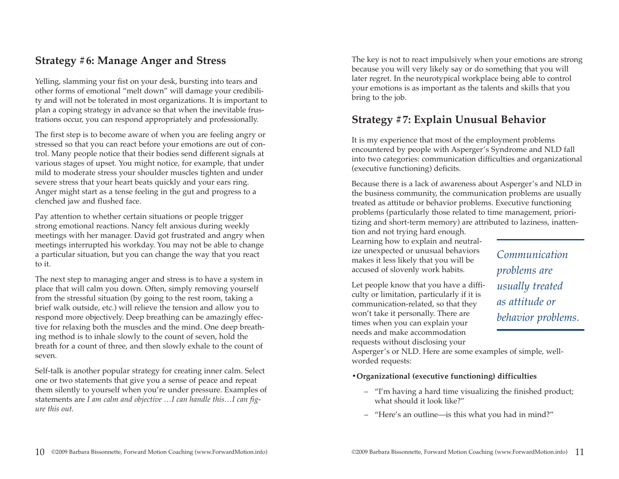### **Strategy #6: Manage Anger and Stress**

Yelling, slamming your fist on your desk, bursting into tears and other forms of emotional "melt down" will damage your credibility and will not be tolerated in most organizations. It is important to plan a coping strategy in advance so that when the inevitable frustrations occur, you can respond appropriately and professionally.

The first step is to become aware of when you are feeling angry or stressed so that you can react before your emotions are out of control. Many people notice that their bodies send different signals at various stages of upset. You might notice, for example, that under mild to moderate stress your shoulder muscles tighten and under severe stress that your heart beats quickly and your ears ring. Anger might start as a tense feeling in the gut and progress to a clenched jaw and flushed face.

Pay attention to whether certain situations or people trigger strong emotional reactions. Nancy felt anxious during weekly meetings with her manager. David got frustrated and angry when meetings interrupted his workday. You may not be able to change a particular situation, but you can change the way that you react to it.

The next step to managing anger and stress is to have a system in place that will calm you down. Often, simply removing yourself from the stressful situation (by going to the rest room, taking a brief walk outside, etc.) will relieve the tension and allow you to respond more objectively. Deep breathing can be amazingly effective for relaxing both the muscles and the mind. One deep breathing method is to inhale slowly to the count of seven, hold the breath for a count of three, and then slowly exhale to the count of seven.

Self-talk is another popular strategy for creating inner calm. Select one or two statements that give you a sense of peace and repeat them silently to yourself when you're under pressure. Examples of statements are *I am calm and objective …I can handle this…I can figure this out.* 

The key is not to react impulsively when your emotions are strong because you will very likely say or do something that you will later regret. In the neurotypical workplace being able to control your emotions is as important as the talents and skills that you bring to the job.

#### **Strategy #7: Explain Unusual Behavior**

It is my experience that most of the employment problems encountered by people with Asperger's Syndrome and NLD fall into two categories: communication difficulties and organizational (executive functioning) deficits.

Because there is a lack of awareness about Asperger's and NLD in the business community, the communication problems are usually treated as attitude or behavior problems. Executive functioning problems (particularly those related to time management, prioritizing and short-term memory) are attributed to laziness, inattention and not trying hard enough.

Learning how to explain and neutralize unexpected or unusual behaviors makes it less likely that you will be accused of slovenly work habits.

Let people know that you have a difficulty or limitation, particularly if it is communication-related, so that they won't take it personally. There are times when you can explain your needs and make accommodation requests without disclosing your

Asperger's or NLD. Here are some examples of simple, wellworded requests:

#### **•Organizational (executive functioning) difficulties**

- "I'm having a hard time visualizing the finished product; what should it look like?"
- "Here's an outline—is this what you had in mind?"

*Communication*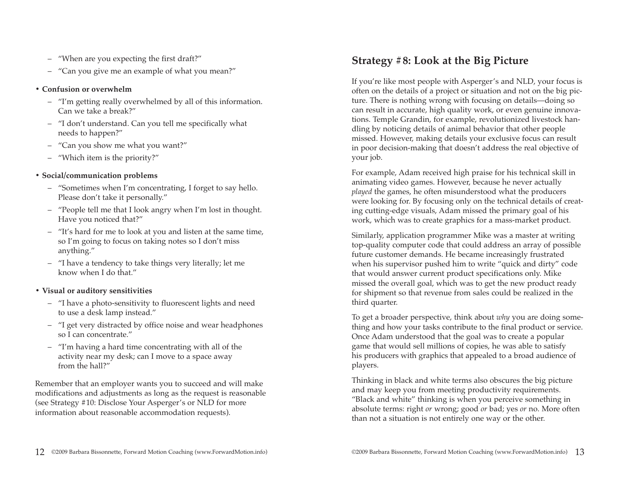- "When are you expecting the first draft?"
- "Can you give me an example of what you mean?"

#### **• Confusion or overwhelm**

- "I'm getting really overwhelmed by all of this information. Can we take a break?"
- "I don't understand. Can you tell me specifically what needs to happen?"
- "Can you show me what you want?"
- "Which item is the priority?"

#### **• Social/communication problems**

- "Sometimes when I'm concentrating, I forget to say hello. Please don't take it personally."
- "People tell me that I look angry when I'm lost in thought. Have you noticed that?"
- "It's hard for me to look at you and listen at the same time, so I'm going to focus on taking notes so I don't miss anything."
- "I have a tendency to take things very literally; let me know when I do that."

#### **• Visual or auditory sensitivities**

- "I have a photo-sensitivity to fluorescent lights and need to use a desk lamp instead."
- "I get very distracted by office noise and wear headphones so I can concentrate."
- "I'm having a hard time concentrating with all of the activity near my desk; can I move to a space away from the hall?"

Remember that an employer wants you to succeed and will make modifications and adjustments as long as the request is reasonable (see Strategy #10: Disclose Your Asperger's or NLD for more information about reasonable accommodation requests).

## **Strategy #8: Look at the Big Picture**

If you're like most people with Asperger's and NLD, your focus is often on the details of a project or situation and not on the big picture. There is nothing wrong with focusing on details—doing so can result in accurate, high quality work, or even genuine innovations. Temple Grandin, for example, revolutionized livestock handling by noticing details of animal behavior that other people missed. However, making details your exclusive focus can result in poor decision-making that doesn't address the real objective of your job.

For example, Adam received high praise for his technical skill in animating video games. However, because he never actually *played* the games, he often misunderstood what the producers were looking for. By focusing only on the technical details of creating cutting-edge visuals, Adam missed the primary goal of his work, which was to create graphics for a mass-market product.

Similarly, application programmer Mike was a master at writing top-quality computer code that could address an array of possible future customer demands. He became increasingly frustrated when his supervisor pushed him to write "quick and dirty" code that would answer current product specifications only. Mike missed the overall goal, which was to get the new product ready for shipment so that revenue from sales could be realized in the third quarter.

To get a broader perspective, think about *why* you are doing something and how your tasks contribute to the final product or service. Once Adam understood that the goal was to create a popular game that would sell millions of copies, he was able to satisfy his producers with graphics that appealed to a broad audience of players.

Thinking in black and white terms also obscures the big picture and may keep you from meeting productivity requirements. "Black and white" thinking is when you perceive something in absolute terms: right *or* wrong; good *or* bad; yes *or* no. More often than not a situation is not entirely one way or the other.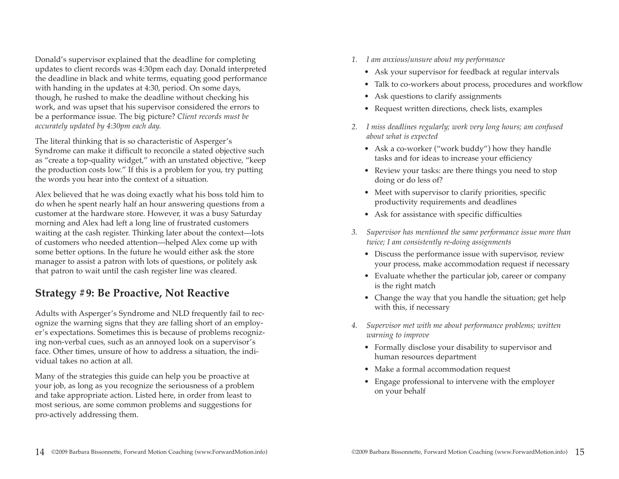Donald's supervisor explained that the deadline for completing updates to client records was 4:30pm each day. Donald interpreted the deadline in black and white terms, equating good performance with handing in the updates at 4:30, period. On some days, though, he rushed to make the deadline without checking his work, and was upset that his supervisor considered the errors to be a performance issue. The big picture? *Client records must be accurately updated by 4:30pm each day.* 

The literal thinking that is so characteristic of Asperger's Syndrome can make it difficult to reconcile a stated objective such as "create a top-quality widget," with an unstated objective, "keep the production costs low." If this is a problem for you, try putting the words you hear into the context of a situation.

Alex believed that he was doing exactly what his boss told him to do when he spent nearly half an hour answering questions from a customer at the hardware store. However, it was a busy Saturday morning and Alex had left a long line of frustrated customers waiting at the cash register. Thinking later about the context—lots of customers who needed attention—helped Alex come up with some better options. In the future he would either ask the store manager to assist a patron with lots of questions, or politely ask that patron to wait until the cash register line was cleared.

#### **Strategy #9: Be Proactive, Not Reactive**

Adults with Asperger's Syndrome and NLD frequently fail to recognize the warning signs that they are falling short of an employer's expectations. Sometimes this is because of problems recognizing non-verbal cues, such as an annoyed look on a supervisor's face. Other times, unsure of how to address a situation, the individual takes no action at all.

Many of the strategies this guide can help you be proactive at your job, as long as you recognize the seriousness of a problem and take appropriate action. Listed here, in order from least to most serious, are some common problems and suggestions for pro-actively addressing them.

- *1. I am anxious/unsure about my performance*
	- Ask your supervisor for feedback at regular intervals
	- Talk to co-workers about process, procedures and workflow
	- Ask questions to clarify assignments
	- Request written directions, check lists, examples
- *2. I miss deadlines regularly; work very long hours; am confused about what is expected*
	- Ask a co-worker ("work buddy") how they handle tasks and for ideas to increase your efficiency
	- Review your tasks: are there things you need to stop doing or do less of?
	- Meet with supervisor to clarify priorities, specific productivity requirements and deadlines
	- Ask for assistance with specific difficulties
- *3. Supervisor has mentioned the same performance issue more than twice; I am consistently re-doing assignments*
	- Discuss the performance issue with supervisor, review your process, make accommodation request if necessary
	- Evaluate whether the particular job, career or company is the right match
	- Change the way that you handle the situation; get help with this, if necessary
- *4. Supervisor met with me about performance problems; written warning to improve*
	- Formally disclose your disability to supervisor and human resources department
	- Make a formal accommodation request
	- Engage professional to intervene with the employer on your behalf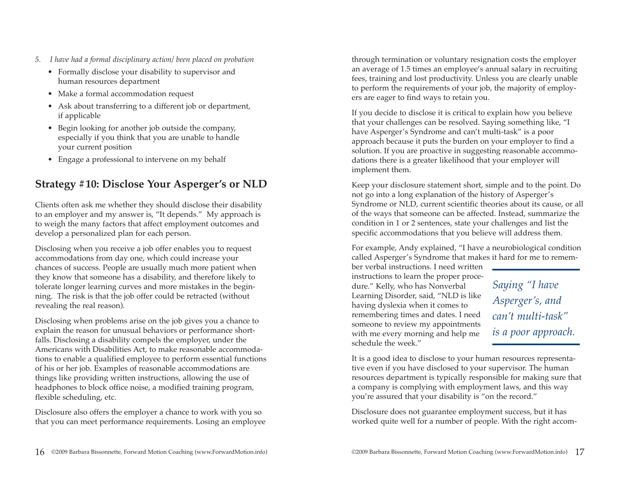- *5. I have had a formal disciplinary action/ been placed on probation*
	- Formally disclose your disability to supervisor and human resources department
	- Make a formal accommodation request
	- Ask about transferring to a different job or department, if applicable
	- Begin looking for another job outside the company, especially if you think that you are unable to handle your current position
	- Engage a professional to intervene on my behalf

## **Strategy #10: Disclose Your Asperger's or NLD**

Clients often ask me whether they should disclose their disability to an employer and my answer is, "It depends." My approach is to weigh the many factors that affect employment outcomes and develop a personalized plan for each person.

Disclosing when you receive a job offer enables you to request accommodations from day one, which could increase your chances of success. People are usually much more patient when they know that someone has a disability, and therefore likely to tolerate longer learning curves and more mistakes in the beginning. The risk is that the job offer could be retracted (without revealing the real reason).

Disclosing when problems arise on the job gives you a chance to explain the reason for unusual behaviors or performance shortfalls. Disclosing a disability compels the employer, under the Americans with Disabilities Act, to make reasonable accommodations to enable a qualified employee to perform essential functions of his or her job. Examples of reasonable accommodations are things like providing written instructions, allowing the use of headphones to block office noise, a modified training program, flexible scheduling, etc.

Disclosure also offers the employer a chance to work with you so that you can meet performance requirements. Losing an employee

through termination or voluntary resignation costs the employer an average of 1.5 times an employee's annual salary in recruiting fees, training and lost productivity. Unless you are clearly unable to perform the requirements of your job, the majority of employers are eager to find ways to retain you.

If you decide to disclose it is critical to explain how you believe that your challenges can be resolved. Saying something like, "I have Asperger's Syndrome and can't multi-task" is a poor approach because it puts the burden on your employer to find a solution. If you are proactive in suggesting reasonable accommodations there is a greater likelihood that your employer will implement them.

Keep your disclosure statement short, simple and to the point. Do not go into a long explanation of the history of Asperger's Syndrome or NLD, current scientific theories about its cause, or all of the ways that someone can be affected. Instead, summarize the condition in 1 or 2 sentences, state your challenges and list the specific accommodations that you believe will address them.

For example, Andy explained, "I have a neurobiological condition called Asperger's Syndrome that makes it hard for me to remem-

ber verbal instructions. I need written instructions to learn the proper procedure." Kelly, who has Nonverbal Learning Disorder, said, "NLD is like having dyslexia when it comes to remembering times and dates. I need someone to review my appointments with me every morning and help me schedule the week."

*Saying "I have Asperger's, and can't multi-task" is a poor approach.*

It is a good idea to disclose to your human resources representative even if you have disclosed to your supervisor. The human resources department is typically responsible for making sure that a company is complying with employment laws, and this way you're assured that your disability is "on the record."

Disclosure does not guarantee employment success, but it has worked quite well for a number of people. With the right accom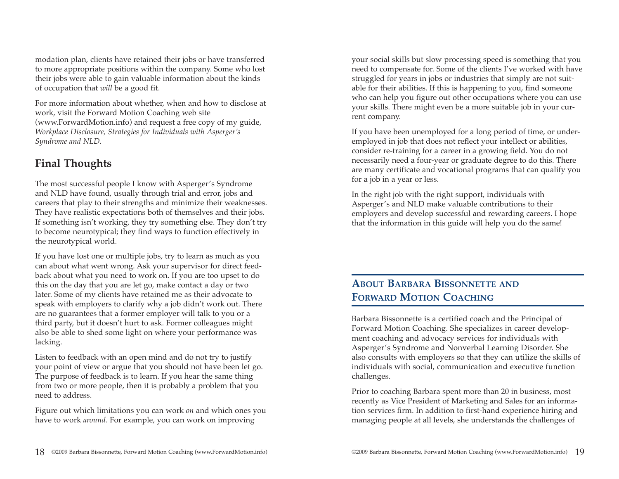modation plan, clients have retained their jobs or have transferred to more appropriate positions within the company. Some who lost their jobs were able to gain valuable information about the kinds of occupation that *will* be a good fit.

For more information about whether, when and how to disclose at work, visit the Forward Motion Coaching web site (www.ForwardMotion.info) and request a free copy of my guide, *Workplace Disclosure, Strategies for Individuals with Asperger's Syndrome and NLD.* 

## **Final Thoughts**

The most successful people I know with Asperger's Syndrome and NLD have found, usually through trial and error, jobs and careers that play to their strengths and minimize their weaknesses. They have realistic expectations both of themselves and their jobs. If something isn't working, they try something else. They don't try to become neurotypical; they find ways to function effectively in the neurotypical world.

If you have lost one or multiple jobs, try to learn as much as you can about what went wrong. Ask your supervisor for direct feedback about what you need to work on. If you are too upset to do this on the day that you are let go, make contact a day or two later. Some of my clients have retained me as their advocate to speak with employers to clarify why a job didn't work out. There are no guarantees that a former employer will talk to you or a third party, but it doesn't hurt to ask. Former colleagues might also be able to shed some light on where your performance was lacking.

Listen to feedback with an open mind and do not try to justify your point of view or argue that you should not have been let go. The purpose of feedback is to learn. If you hear the same thing from two or more people, then it is probably a problem that you need to address.

Figure out which limitations you can work *on* and which ones you have to work *around.* For example, you can work on improving

your social skills but slow processing speed is something that you need to compensate for. Some of the clients I've worked with have struggled for years in jobs or industries that simply are not suitable for their abilities. If this is happening to you, find someone who can help you figure out other occupations where you can use your skills. There might even be a more suitable job in your current company.

If you have been unemployed for a long period of time, or underemployed in job that does not reflect your intellect or abilities, consider re-training for a career in a growing field. You do not necessarily need a four-year or graduate degree to do this. There are many certificate and vocational programs that can qualify you for a job in a year or less.

In the right job with the right support, individuals with Asperger's and NLD make valuable contributions to their employers and develop successful and rewarding careers. I hope that the information in this guide will help you do the same!

## **ABOUT BARBARA BISSONNETTE AND FORWARD MOTION COACHING**

Barbara Bissonnette is a certified coach and the Principal of Forward Motion Coaching. She specializes in career development coaching and advocacy services for individuals with Asperger's Syndrome and Nonverbal Learning Disorder. She also consults with employers so that they can utilize the skills of individuals with social, communication and executive function challenges.

Prior to coaching Barbara spent more than 20 in business, most recently as Vice President of Marketing and Sales for an information services firm. In addition to first-hand experience hiring and managing people at all levels, she understands the challenges of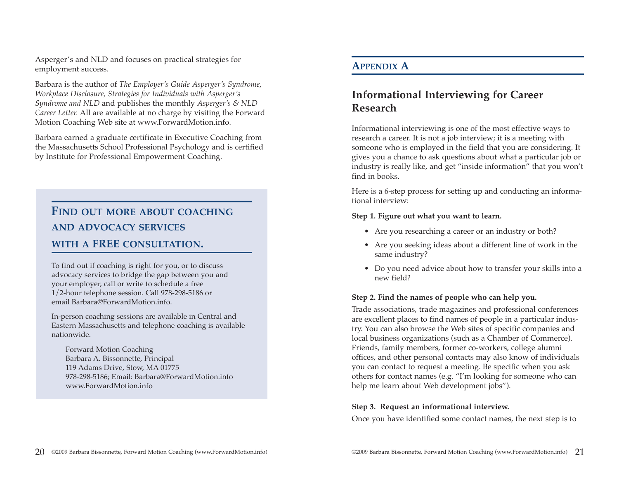Asperger's and NLD and focuses on practical strategies for employment success.

Barbara is the author of *The Employer's Guide Asperger's Syndrome, Workplace Disclosure, Strategies for Individuals with Asperger's Syndrome and NLD* and publishes the monthly *Asperger's & NLD Career Letter.* All are available at no charge by visiting the Forward Motion Coaching Web site at www.ForwardMotion.info.

Barbara earned a graduate certificate in Executive Coaching from the Massachusetts School Professional Psychology and is certified by Institute for Professional Empowerment Coaching.

## **FIND OUT MORE ABOUT COACHING AND ADVOCACY SERVICES WITH A FREE CONSULTATION.**

To find out if coaching is right for you, or to discuss advocacy services to bridge the gap between you and your employer, call or write to schedule a free 1/2-hour telephone session. Call 978-298-5186 or email Barbara@ForwardMotion.info.

In-person coaching sessions are available in Central and Eastern Massachusetts and telephone coaching is available nationwide.

Forward Motion Coaching Barbara A. Bissonnette, Principal 119 Adams Drive, Stow, MA 01775 978-298-5186; Email: Barbara@ForwardMotion.info www.ForwardMotion.info

#### **APPENDIX A**

## **Informational Interviewing for Career Research**

Informational interviewing is one of the most effective ways to research a career. It is not a job interview; it is a meeting with someone who is employed in the field that you are considering. It gives you a chance to ask questions about what a particular job or industry is really like, and get "inside information" that you won't find in books.

Here is a 6-step process for setting up and conducting an informational interview:

#### **Step 1. Figure out what you want to learn.**

- Are you researching a career or an industry or both?
- Are you seeking ideas about a different line of work in the same industry?
- Do you need advice about how to transfer your skills into a new field?

#### **Step 2. Find the names of people who can help you.**

Trade associations, trade magazines and professional conferences are excellent places to find names of people in a particular industry. You can also browse the Web sites of specific companies and local business organizations (such as a Chamber of Commerce). Friends, family members, former co-workers, college alumni offices, and other personal contacts may also know of individuals you can contact to request a meeting. Be specific when you ask others for contact names (e.g. "I'm looking for someone who can help me learn about Web development jobs").

#### **Step 3. Request an informational interview.**

Once you have identified some contact names, the next step is to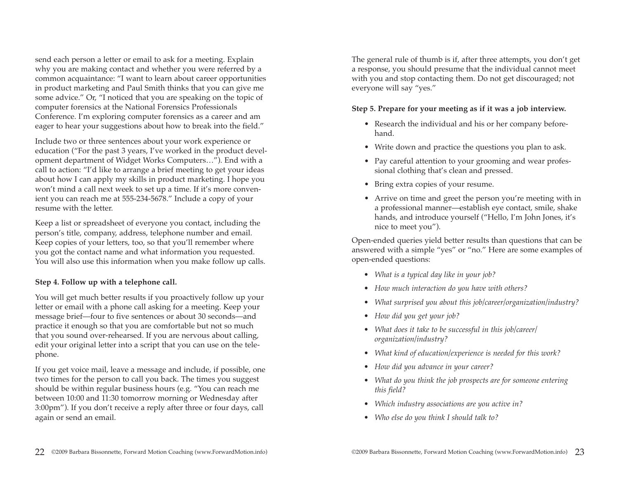send each person a letter or email to ask for a meeting. Explain why you are making contact and whether you were referred by a common acquaintance: "I want to learn about career opportunities in product marketing and Paul Smith thinks that you can give me some advice." Or, "I noticed that you are speaking on the topic of computer forensics at the National Forensics Professionals Conference. I'm exploring computer forensics as a career and am eager to hear your suggestions about how to break into the field."

Include two or three sentences about your work experience or education ("For the past 3 years, I've worked in the product development department of Widget Works Computers…"). End with a call to action: "I'd like to arrange a brief meeting to get your ideas about how I can apply my skills in product marketing. I hope you won't mind a call next week to set up a time. If it's more convenient you can reach me at 555-234-5678." Include a copy of your resume with the letter.

Keep a list or spreadsheet of everyone you contact, including the person's title, company, address, telephone number and email. Keep copies of your letters, too, so that you'll remember where you got the contact name and what information you requested. You will also use this information when you make follow up calls.

#### **Step 4. Follow up with a telephone call.**

You will get much better results if you proactively follow up your letter or email with a phone call asking for a meeting. Keep your message brief—four to five sentences or about 30 seconds—and practice it enough so that you are comfortable but not so much that you sound over-rehearsed. If you are nervous about calling, edit your original letter into a script that you can use on the telephone.

If you get voice mail, leave a message and include, if possible, one two times for the person to call you back. The times you suggest should be within regular business hours (e.g. "You can reach me between 10:00 and 11:30 tomorrow morning or Wednesday after 3:00pm"). If you don't receive a reply after three or four days, call again or send an email.

The general rule of thumb is if, after three attempts, you don't get a response, you should presume that the individual cannot meet with you and stop contacting them. Do not get discouraged; not everyone will say "yes."

#### **Step 5. Prepare for your meeting as if it was a job interview.**

- Research the individual and his or her company beforehand.
- Write down and practice the questions you plan to ask.
- Pay careful attention to your grooming and wear professional clothing that's clean and pressed.
- Bring extra copies of your resume.
- Arrive on time and greet the person you're meeting with in a professional manner—establish eye contact, smile, shake hands, and introduce yourself ("Hello, I'm John Jones, it's nice to meet you").

Open-ended queries yield better results than questions that can be answered with a simple "yes" or "no." Here are some examples of open-ended questions:

- *What is a typical day like in your job?*
- *How much interaction do you have with others?*
- *What surprised you about this job/career/organization/industry?*
- *How did you get your job?*
- *What does it take to be successful in this job/career/ organization/industry?*
- *What kind of education/experience is needed for this work?*
- *How did you advance in your career?*
- *What do you think the job prospects are for someone entering this field?*
- *Which industry associations are you active in?*
- *Who else do you think I should talk to?*